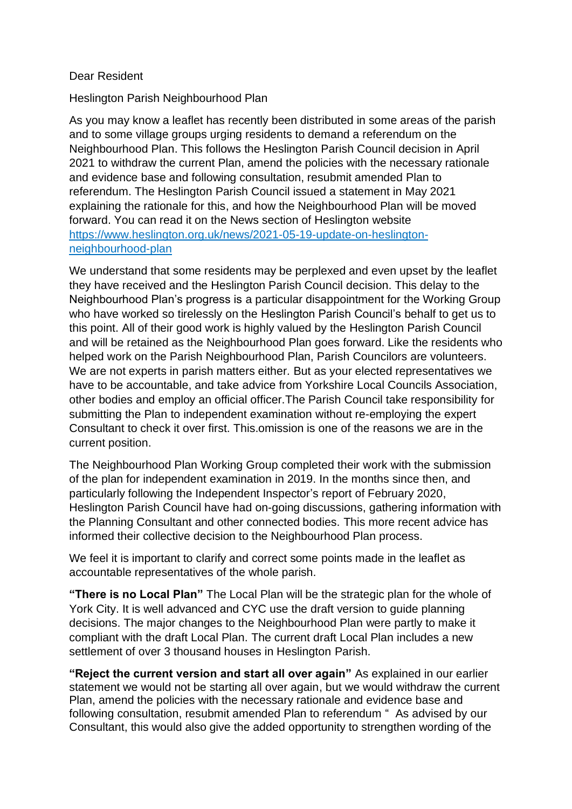## Dear Resident

Heslington Parish Neighbourhood Plan

As you may know a leaflet has recently been distributed in some areas of the parish and to some village groups urging residents to demand a referendum on the Neighbourhood Plan. This follows the Heslington Parish Council decision in April 2021 to withdraw the current Plan, amend the policies with the necessary rationale and evidence base and following consultation, resubmit amended Plan to referendum. The Heslington Parish Council issued a statement in May 2021 explaining the rationale for this, and how the Neighbourhood Plan will be moved forward. You can read it on the News section of Heslington website [https://www.heslington.org.uk/news/2021-05-19-update-on-heslington](https://www.heslington.org.uk/news/2021-05-19-update-on-heslington-neighbourhood-plan)[neighbourhood-plan](https://www.heslington.org.uk/news/2021-05-19-update-on-heslington-neighbourhood-plan)

We understand that some residents may be perplexed and even upset by the leaflet they have received and the Heslington Parish Council decision. This delay to the Neighbourhood Plan's progress is a particular disappointment for the Working Group who have worked so tirelessly on the Heslington Parish Council's behalf to get us to this point. All of their good work is highly valued by the Heslington Parish Council and will be retained as the Neighbourhood Plan goes forward. Like the residents who helped work on the Parish Neighbourhood Plan, Parish Councilors are volunteers. We are not experts in parish matters either*.* But as your elected representatives we have to be accountable, and take advice from Yorkshire Local Councils Association, other bodies and employ an official officer.The Parish Council take responsibility for submitting the Plan to independent examination without re-employing the expert Consultant to check it over first. This.omission is one of the reasons we are in the current position.

The Neighbourhood Plan Working Group completed their work with the submission of the plan for independent examination in 2019. In the months since then, and particularly following the Independent Inspector's report of February 2020, Heslington Parish Council have had on-going discussions, gathering information with the Planning Consultant and other connected bodies. This more recent advice has informed their collective decision to the Neighbourhood Plan process.

We feel it is important to clarify and correct some points made in the leaflet as accountable representatives of the whole parish.

**"There is no Local Plan"** The Local Plan will be the strategic plan for the whole of York City. It is well advanced and CYC use the draft version to guide planning decisions. The major changes to the Neighbourhood Plan were partly to make it compliant with the draft Local Plan. The current draft Local Plan includes a new settlement of over 3 thousand houses in Heslington Parish.

**"Reject the current version and start all over again"** As explained in our earlier statement we would not be starting all over again, but we would withdraw the current Plan, amend the policies with the necessary rationale and evidence base and following consultation, resubmit amended Plan to referendum " As advised by our Consultant, this would also give the added opportunity to strengthen wording of the